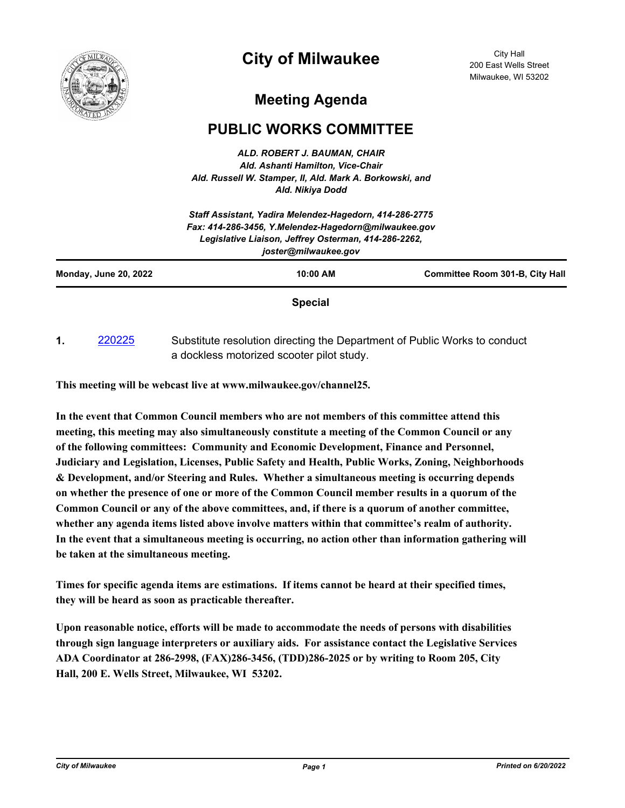

## **City of Milwaukee**

City Hall 200 East Wells Street Milwaukee, WI 53202

## **Meeting Agenda**

## **PUBLIC WORKS COMMITTEE**

*ALD. ROBERT J. BAUMAN, CHAIR Ald. Ashanti Hamilton, Vice-Chair Ald. Russell W. Stamper, II, Ald. Mark A. Borkowski, and Ald. Nikiya Dodd*

|                              | Legislative Liaison, Jeffrey Osterman, 414-286-2262,<br>joster@milwaukee.gov |                                        |
|------------------------------|------------------------------------------------------------------------------|----------------------------------------|
| <b>Monday, June 20, 2022</b> | $10:00$ AM                                                                   | <b>Committee Room 301-B, City Hall</b> |

**1.** [220225](http://milwaukee.legistar.com/gateway.aspx?m=l&id=/matter.aspx?key=62353) Substitute resolution directing the Department of Public Works to conduct a dockless motorized scooter pilot study.

**This meeting will be webcast live at www.milwaukee.gov/channel25.**

**In the event that Common Council members who are not members of this committee attend this meeting, this meeting may also simultaneously constitute a meeting of the Common Council or any of the following committees: Community and Economic Development, Finance and Personnel, Judiciary and Legislation, Licenses, Public Safety and Health, Public Works, Zoning, Neighborhoods & Development, and/or Steering and Rules. Whether a simultaneous meeting is occurring depends on whether the presence of one or more of the Common Council member results in a quorum of the Common Council or any of the above committees, and, if there is a quorum of another committee, whether any agenda items listed above involve matters within that committee's realm of authority. In the event that a simultaneous meeting is occurring, no action other than information gathering will be taken at the simultaneous meeting.**

**Times for specific agenda items are estimations. If items cannot be heard at their specified times, they will be heard as soon as practicable thereafter.**

**Upon reasonable notice, efforts will be made to accommodate the needs of persons with disabilities through sign language interpreters or auxiliary aids. For assistance contact the Legislative Services ADA Coordinator at 286-2998, (FAX)286-3456, (TDD)286-2025 or by writing to Room 205, City Hall, 200 E. Wells Street, Milwaukee, WI 53202.**